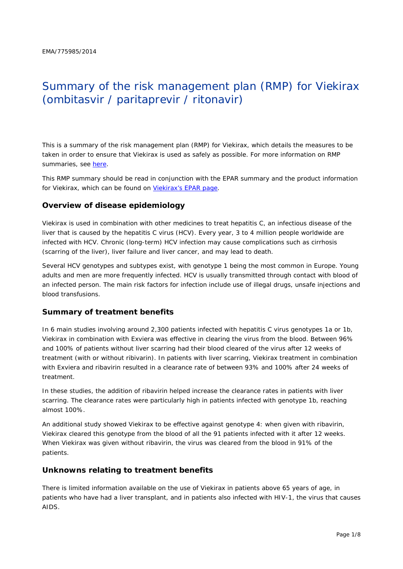# Summary of the risk management plan (RMP) for Viekirax (ombitasvir / paritaprevir / ritonavir)

This is a summary of the risk management plan (RMP) for Viekirax, which details the measures to be taken in order to ensure that Viekirax is used as safely as possible. For more information on RMP summaries, see [here.](http://www.ema.europa.eu/docs/en_GB/document_library/Other/2014/05/WC500166101.pdf)

This RMP summary should be read in conjunction with the EPAR summary and the product information for Viekirax, which can be found on [Viekirax's EPAR page.](http://www.ema.europa.eu/ema/index.jsp?curl=/pages/medicines/human/medicines/003839/human_med_001838.jsp)

### **Overview of disease epidemiology**

Viekirax is used in combination with other medicines to treat hepatitis C, an infectious disease of the liver that is caused by the hepatitis C virus (HCV). Every year, 3 to 4 million people worldwide are infected with HCV. Chronic (long-term) HCV infection may cause complications such as cirrhosis (scarring of the liver), liver failure and liver cancer, and may lead to death.

Several HCV genotypes and subtypes exist, with genotype 1 being the most common in Europe. Young adults and men are more frequently infected. HCV is usually transmitted through contact with blood of an infected person. The main risk factors for infection include use of illegal drugs, unsafe injections and blood transfusions.

#### **Summary of treatment benefits**

In 6 main studies involving around 2,300 patients infected with hepatitis C virus genotypes 1a or 1b, Viekirax in combination with Exviera was effective in clearing the virus from the blood. Between 96% and 100% of patients without liver scarring had their blood cleared of the virus after 12 weeks of treatment (with or without ribivarin). In patients with liver scarring, Viekirax treatment in combination with Exviera and ribavirin resulted in a clearance rate of between 93% and 100% after 24 weeks of treatment

In these studies, the addition of ribavirin helped increase the clearance rates in patients with liver scarring. The clearance rates were particularly high in patients infected with genotype 1b, reaching almost 100%.

An additional study showed Viekirax to be effective against genotype 4: when given with ribavirin, Viekirax cleared this genotype from the blood of all the 91 patients infected with it after 12 weeks. When Viekirax was given without ribavirin, the virus was cleared from the blood in 91% of the patients.

#### **Unknowns relating to treatment benefits**

There is limited information available on the use of Viekirax in patients above 65 years of age, in patients who have had a liver transplant, and in patients also infected with HIV-1, the virus that causes AIDS.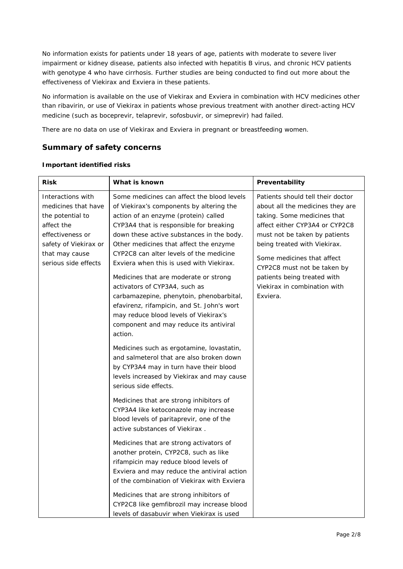No information exists for patients under 18 years of age, patients with moderate to severe liver impairment or kidney disease, patients also infected with hepatitis B virus, and chronic HCV patients with genotype 4 who have cirrhosis. Further studies are being conducted to find out more about the effectiveness of Viekirax and Exviera in these patients.

No information is available on the use of Viekirax and Exviera in combination with HCV medicines other than ribavirin, or use of Viekirax in patients whose previous treatment with another direct-acting HCV medicine (such as boceprevir, telaprevir, sofosbuvir, or simeprevir) had failed.

There are no data on use of Viekirax and Exviera in pregnant or breastfeeding women.

## **Summary of safety concerns**

| <b>Risk</b>                                                                                                                                                       | What is known                                                                                                                                                                                                                                                                                                                                                                                                                                                                                                                                                                                                             | Preventability                                                                                                                                                                                                                                                                                                                                  |
|-------------------------------------------------------------------------------------------------------------------------------------------------------------------|---------------------------------------------------------------------------------------------------------------------------------------------------------------------------------------------------------------------------------------------------------------------------------------------------------------------------------------------------------------------------------------------------------------------------------------------------------------------------------------------------------------------------------------------------------------------------------------------------------------------------|-------------------------------------------------------------------------------------------------------------------------------------------------------------------------------------------------------------------------------------------------------------------------------------------------------------------------------------------------|
| Interactions with<br>medicines that have<br>the potential to<br>affect the<br>effectiveness or<br>safety of Viekirax or<br>that may cause<br>serious side effects | Some medicines can affect the blood levels<br>of Viekirax's components by altering the<br>action of an enzyme (protein) called<br>CYP3A4 that is responsible for breaking<br>down these active substances in the body.<br>Other medicines that affect the enzyme<br>CYP2C8 can alter levels of the medicine<br>Exviera when this is used with Viekirax.<br>Medicines that are moderate or strong<br>activators of CYP3A4, such as<br>carbamazepine, phenytoin, phenobarbital,<br>efavirenz, rifampicin, and St. John's wort<br>may reduce blood levels of Viekirax's<br>component and may reduce its antiviral<br>action. | Patients should tell their doctor<br>about all the medicines they are<br>taking. Some medicines that<br>affect either CYP3A4 or CYP2C8<br>must not be taken by patients<br>being treated with Viekirax.<br>Some medicines that affect<br>CYP2C8 must not be taken by<br>patients being treated with<br>Viekirax in combination with<br>Exviera. |
|                                                                                                                                                                   | Medicines such as ergotamine, lovastatin,<br>and salmeterol that are also broken down<br>by CYP3A4 may in turn have their blood<br>levels increased by Viekirax and may cause<br>serious side effects.                                                                                                                                                                                                                                                                                                                                                                                                                    |                                                                                                                                                                                                                                                                                                                                                 |
|                                                                                                                                                                   | Medicines that are strong inhibitors of<br>CYP3A4 like ketoconazole may increase<br>blood levels of paritaprevir, one of the<br>active substances of Viekirax.                                                                                                                                                                                                                                                                                                                                                                                                                                                            |                                                                                                                                                                                                                                                                                                                                                 |
|                                                                                                                                                                   | Medicines that are strong activators of<br>another protein, CYP2C8, such as like<br>rifampicin may reduce blood levels of<br>Exviera and may reduce the antiviral action<br>of the combination of Viekirax with Exviera                                                                                                                                                                                                                                                                                                                                                                                                   |                                                                                                                                                                                                                                                                                                                                                 |
|                                                                                                                                                                   | Medicines that are strong inhibitors of<br>CYP2C8 like gemfibrozil may increase blood<br>levels of dasabuvir when Viekirax is used                                                                                                                                                                                                                                                                                                                                                                                                                                                                                        |                                                                                                                                                                                                                                                                                                                                                 |

#### *Important identified risks*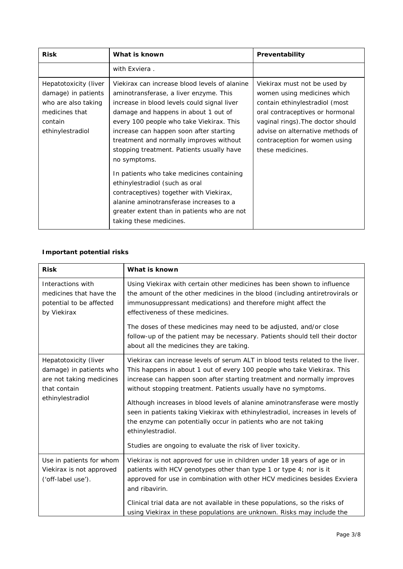| <b>Risk</b>                                                                                                          | What is known                                                                                                                                                                                                                                                                                                                                                                                                                                                                                                                                                                                                                | Preventability                                                                                                                                                                                                                                                 |  |
|----------------------------------------------------------------------------------------------------------------------|------------------------------------------------------------------------------------------------------------------------------------------------------------------------------------------------------------------------------------------------------------------------------------------------------------------------------------------------------------------------------------------------------------------------------------------------------------------------------------------------------------------------------------------------------------------------------------------------------------------------------|----------------------------------------------------------------------------------------------------------------------------------------------------------------------------------------------------------------------------------------------------------------|--|
|                                                                                                                      | with Exviera.                                                                                                                                                                                                                                                                                                                                                                                                                                                                                                                                                                                                                |                                                                                                                                                                                                                                                                |  |
| Hepatotoxicity (liver<br>damage) in patients<br>who are also taking<br>medicines that<br>contain<br>ethinylestradiol | Viekirax can increase blood levels of alanine<br>aminotransferase, a liver enzyme. This<br>increase in blood levels could signal liver<br>damage and happens in about 1 out of<br>every 100 people who take Viekirax. This<br>increase can happen soon after starting<br>treatment and normally improves without<br>stopping treatment. Patients usually have<br>no symptoms.<br>In patients who take medicines containing<br>ethinylestradiol (such as oral<br>contraceptives) together with Viekirax,<br>alanine aminotransferase increases to a<br>greater extent than in patients who are not<br>taking these medicines. | Viekirax must not be used by<br>women using medicines which<br>contain ethinylestradiol (most<br>oral contraceptives or hormonal<br>vaginal rings). The doctor should<br>advise on alternative methods of<br>contraception for women using<br>these medicines. |  |

# *Important potential risks*

| <b>Risk</b>                                                                                                      | What is known                                                                                                                                                                                                                                                                                                                                                                                                                                                                                                                                                                                                                 |
|------------------------------------------------------------------------------------------------------------------|-------------------------------------------------------------------------------------------------------------------------------------------------------------------------------------------------------------------------------------------------------------------------------------------------------------------------------------------------------------------------------------------------------------------------------------------------------------------------------------------------------------------------------------------------------------------------------------------------------------------------------|
| Interactions with<br>medicines that have the<br>potential to be affected<br>by Viekirax                          | Using Viekirax with certain other medicines has been shown to influence<br>the amount of the other medicines in the blood (including antiretrovirals or<br>immunosuppressant medications) and therefore might affect the<br>effectiveness of these medicines.                                                                                                                                                                                                                                                                                                                                                                 |
|                                                                                                                  | The doses of these medicines may need to be adjusted, and/or close<br>follow-up of the patient may be necessary. Patients should tell their doctor<br>about all the medicines they are taking.                                                                                                                                                                                                                                                                                                                                                                                                                                |
| Hepatotoxicity (liver<br>damage) in patients who<br>are not taking medicines<br>that contain<br>ethinylestradiol | Viekirax can increase levels of serum ALT in blood tests related to the liver.<br>This happens in about 1 out of every 100 people who take Viekirax. This<br>increase can happen soon after starting treatment and normally improves<br>without stopping treatment. Patients usually have no symptoms.<br>Although increases in blood levels of alanine aminotransferase were mostly<br>seen in patients taking Viekirax with ethinylestradiol, increases in levels of<br>the enzyme can potentially occur in patients who are not taking<br>ethinylestradiol.<br>Studies are ongoing to evaluate the risk of liver toxicity. |
| Use in patients for whom<br>Viekirax is not approved<br>('off-label use').                                       | Viekirax is not approved for use in children under 18 years of age or in<br>patients with HCV genotypes other than type 1 or type 4; nor is it<br>approved for use in combination with other HCV medicines besides Exviera<br>and ribavirin.<br>Clinical trial data are not available in these populations, so the risks of<br>using Viekirax in these populations are unknown. Risks may include the                                                                                                                                                                                                                         |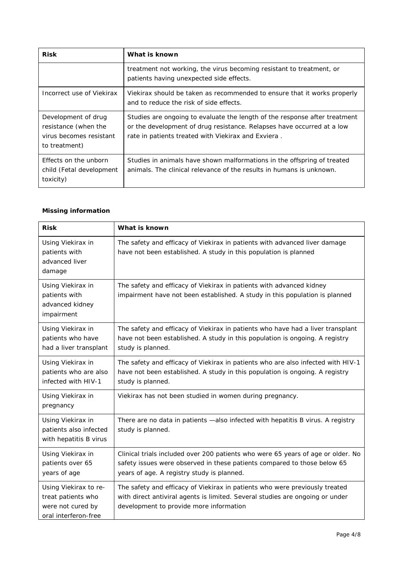| <b>Risk</b>                                                                             | What is known                                                                                                                                                                                               |
|-----------------------------------------------------------------------------------------|-------------------------------------------------------------------------------------------------------------------------------------------------------------------------------------------------------------|
|                                                                                         | treatment not working, the virus becoming resistant to treatment, or<br>patients having unexpected side effects.                                                                                            |
| Incorrect use of Viekirax                                                               | Viekirax should be taken as recommended to ensure that it works properly<br>and to reduce the risk of side effects.                                                                                         |
| Development of drug<br>resistance (when the<br>virus becomes resistant<br>to treatment) | Studies are ongoing to evaluate the length of the response after treatment<br>or the development of drug resistance. Relapses have occurred at a low<br>rate in patients treated with Viekirax and Exviera. |
| Effects on the unborn<br>child (Fetal development<br>toxicity)                          | Studies in animals have shown malformations in the offspring of treated<br>animals. The clinical relevance of the results in humans is unknown.                                                             |

# *Missing information*

| <b>Risk</b>                                                                              | What is known                                                                                                                                                                                              |
|------------------------------------------------------------------------------------------|------------------------------------------------------------------------------------------------------------------------------------------------------------------------------------------------------------|
| Using Viekirax in<br>patients with<br>advanced liver<br>damage                           | The safety and efficacy of Viekirax in patients with advanced liver damage<br>have not been established. A study in this population is planned                                                             |
| Using Viekirax in<br>patients with<br>advanced kidney<br>impairment                      | The safety and efficacy of Viekirax in patients with advanced kidney<br>impairment have not been established. A study in this population is planned                                                        |
| Using Viekirax in<br>patients who have<br>had a liver transplant                         | The safety and efficacy of Viekirax in patients who have had a liver transplant<br>have not been established. A study in this population is ongoing. A registry<br>study is planned.                       |
| Using Viekirax in<br>patients who are also<br>infected with HIV-1                        | The safety and efficacy of Viekirax in patients who are also infected with HIV-1<br>have not been established. A study in this population is ongoing. A registry<br>study is planned.                      |
| Using Viekirax in<br>pregnancy                                                           | Viekirax has not been studied in women during pregnancy.                                                                                                                                                   |
| Using Viekirax in<br>patients also infected<br>with hepatitis B virus                    | There are no data in patients -also infected with hepatitis B virus. A registry<br>study is planned.                                                                                                       |
| Using Viekirax in<br>patients over 65<br>years of age                                    | Clinical trials included over 200 patients who were 65 years of age or older. No<br>safety issues were observed in these patients compared to those below 65<br>years of age. A registry study is planned. |
| Using Viekirax to re-<br>treat patients who<br>were not cured by<br>oral interferon-free | The safety and efficacy of Viekirax in patients who were previously treated<br>with direct antiviral agents is limited. Several studies are ongoing or under<br>development to provide more information    |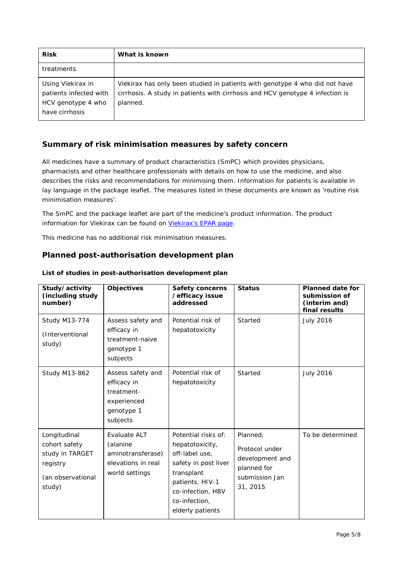| <b>Risk</b>                                                                         | What is known                                                                                                                                                            |
|-------------------------------------------------------------------------------------|--------------------------------------------------------------------------------------------------------------------------------------------------------------------------|
| treatments.                                                                         |                                                                                                                                                                          |
| Using Viekirax in<br>patients infected with<br>HCV genotype 4 who<br>have cirrhosis | Viekirax has only been studied in patients with genotype 4 who did not have<br>cirrhosis. A study in patients with cirrhosis and HCV genotype 4 infection is<br>planned. |

# **Summary of risk minimisation measures by safety concern**

All medicines have a summary of product characteristics (SmPC) which provides physicians, pharmacists and other healthcare professionals with details on how to use the medicine, and also describes the risks and recommendations for minimising them. Information for patients is available in lay language in the package leaflet. The measures listed in these documents are known as 'routine risk minimisation measures'.

The SmPC and the package leaflet are part of the medicine's product information. The product information for Viekirax can be found on [Viekirax's EPAR page.](http://www.ema.europa.eu/ema/index.jsp?curl=/pages/medicines/human/medicines/003839/human_med_001838.jsp)

This medicine has no additional risk minimisation measures.

# **Planned post-authorisation development plan**

| Study/activity<br>(including study<br>number)                                               | <b>Objectives</b>                                                                       | <b>Safety concerns</b><br>/efficacy issue<br>addressed                                                                                                                      | <b>Status</b>                                                                              | <b>Planned date for</b><br>submission of<br>(interim and)<br>final results |
|---------------------------------------------------------------------------------------------|-----------------------------------------------------------------------------------------|-----------------------------------------------------------------------------------------------------------------------------------------------------------------------------|--------------------------------------------------------------------------------------------|----------------------------------------------------------------------------|
| <b>Study M13-774</b><br>(Interventional<br>study)                                           | Assess safety and<br>efficacy in<br>treatment-naive<br>genotype 1<br>subjects           | Potential risk of<br>hepatotoxicity                                                                                                                                         | Started                                                                                    | <b>July 2016</b>                                                           |
| <b>Study M13-862</b>                                                                        | Assess safety and<br>efficacy in<br>treatment-<br>experienced<br>genotype 1<br>subjects | Potential risk of<br>hepatotoxicity                                                                                                                                         | Started                                                                                    | <b>July 2016</b>                                                           |
| Longitudinal<br>cohort safety<br>study in TARGET<br>registry<br>(an observational<br>study) | Evaluate ALT<br>(alanine<br>aminotransferase)<br>elevations in real<br>world settings   | Potential risks of:<br>hepatotoxicity,<br>off-label use,<br>safety in post liver<br>transplant<br>patients, HIV-1<br>co-infection, HBV<br>co-infection,<br>elderly patients | Planned;<br>Protocol under<br>development and<br>planned for<br>submission Jan<br>31, 2015 | To be determined                                                           |

#### *List of studies in post-authorisation development plan*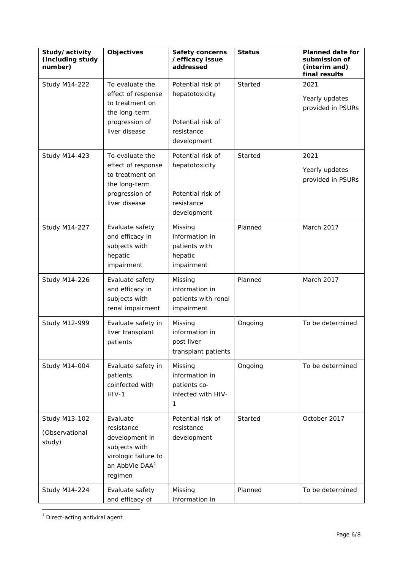| Study/activity<br>(including study<br>number)    | <b>Objectives</b>                                                                                                          | <b>Safety concerns</b><br>/efficacy issue<br>addressed                                | <b>Status</b> | <b>Planned date for</b><br>submission of<br>(interim and)<br>final results |
|--------------------------------------------------|----------------------------------------------------------------------------------------------------------------------------|---------------------------------------------------------------------------------------|---------------|----------------------------------------------------------------------------|
| <b>Study M14-222</b>                             | To evaluate the<br>effect of response<br>to treatment on<br>the long-term<br>progression of<br>liver disease               | Potential risk of<br>hepatotoxicity<br>Potential risk of<br>resistance<br>development | Started       | 2021<br>Yearly updates<br>provided in PSURs                                |
| <b>Study M14-423</b>                             | To evaluate the<br>effect of response<br>to treatment on<br>the long-term<br>progression of<br>liver disease               | Potential risk of<br>hepatotoxicity<br>Potential risk of<br>resistance<br>development | Started       | 2021<br>Yearly updates<br>provided in PSURs                                |
| <b>Study M14-227</b>                             | Evaluate safety<br>and efficacy in<br>subjects with<br>hepatic<br>impairment                                               | Missing<br>information in<br>patients with<br>hepatic<br>impairment                   | Planned       | March 2017                                                                 |
| <b>Study M14-226</b>                             | Evaluate safety<br>and efficacy in<br>subjects with<br>renal impairment                                                    | Missing<br>information in<br>patients with renal<br>impairment                        | Planned       | March 2017                                                                 |
| <b>Study M12-999</b>                             | Evaluate safety in<br>liver transplant<br>patients                                                                         | Missing<br>information in<br>post liver<br>transplant patients                        | Ongoing       | To be determined                                                           |
| <b>Study M14-004</b>                             | Evaluate safety in<br>patients<br>coinfected with<br>$HIV-1$                                                               | Missing<br>information in<br>patients co-<br>infected with HIV-<br>1                  | Ongoing       | To be determined                                                           |
| <b>Study M13-102</b><br>(Observational<br>study) | Evaluate<br>resistance<br>development in<br>subjects with<br>virologic failure to<br>an AbbVie DAA <sup>1</sup><br>regimen | Potential risk of<br>resistance<br>development                                        | Started       | October 2017                                                               |
| <b>Study M14-224</b>                             | Evaluate safety<br>and efficacy of                                                                                         | Missing<br>information in                                                             | Planned       | To be determined                                                           |

<span id="page-5-0"></span> $1$  Direct-acting antiviral agent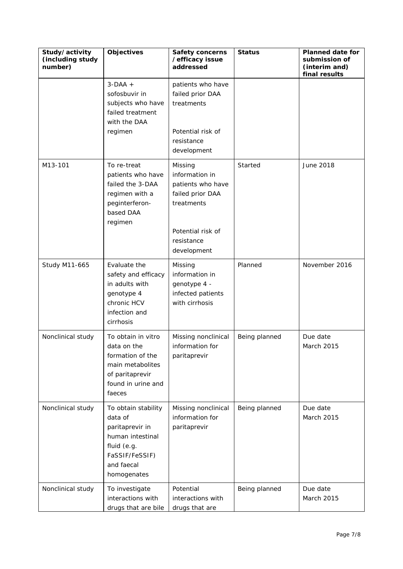| Study/activity<br>(including study<br>number) | <b>Objectives</b>                                                                                                                   | <b>Safety concerns</b><br>/efficacy issue<br>addressed                                                                             | <b>Status</b> | <b>Planned date for</b><br>submission of<br>(interim and)<br>final results |
|-----------------------------------------------|-------------------------------------------------------------------------------------------------------------------------------------|------------------------------------------------------------------------------------------------------------------------------------|---------------|----------------------------------------------------------------------------|
|                                               | $3-DAA +$<br>sofosbuvir in<br>subjects who have<br>failed treatment<br>with the DAA<br>regimen                                      | patients who have<br>failed prior DAA<br>treatments<br>Potential risk of<br>resistance<br>development                              |               |                                                                            |
| M13-101                                       | To re-treat<br>patients who have<br>failed the 3-DAA<br>regimen with a<br>peginterferon-<br>based DAA<br>regimen                    | Missing<br>information in<br>patients who have<br>failed prior DAA<br>treatments<br>Potential risk of<br>resistance<br>development | Started       | June 2018                                                                  |
| <b>Study M11-665</b>                          | Evaluate the<br>safety and efficacy<br>in adults with<br>genotype 4<br>chronic HCV<br>infection and<br>cirrhosis                    | Missing<br>information in<br>genotype 4 -<br>infected patients<br>with cirrhosis                                                   | Planned       | November 2016                                                              |
| Nonclinical study                             | To obtain in vitro<br>data on the<br>formation of the<br>main metabolites<br>of paritaprevir<br>found in urine and<br>faeces        | Missing nonclinical<br>information for<br>paritaprevir                                                                             | Being planned | Due date<br>March 2015                                                     |
| Nonclinical study                             | To obtain stability<br>data of<br>paritaprevir in<br>human intestinal<br>fluid (e.g.<br>FaSSIF/FeSSIF)<br>and faecal<br>homogenates | Missing nonclinical<br>information for<br>paritaprevir                                                                             | Being planned | Due date<br>March 2015                                                     |
| Nonclinical study                             | To investigate<br>interactions with<br>drugs that are bile                                                                          | Potential<br>interactions with<br>drugs that are                                                                                   | Being planned | Due date<br>March 2015                                                     |